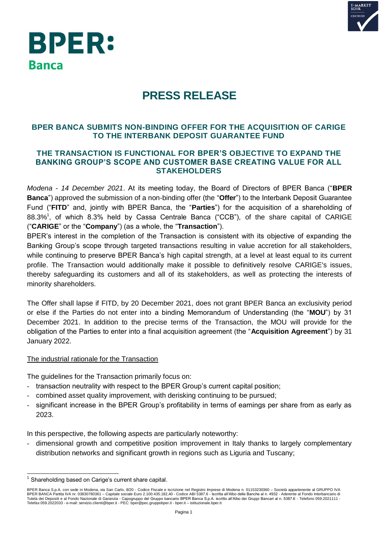

# **BPER: Banca**

# **PRESS RELEASE**

## **BPER BANCA SUBMITS NON-BINDING OFFER FOR THE ACQUISITION OF CARIGE TO THE INTERBANK DEPOSIT GUARANTEE FUND**

### **THE TRANSACTION IS FUNCTIONAL FOR BPER'S OBJECTIVE TO EXPAND THE BANKING GROUP'S SCOPE AND CUSTOMER BASE CREATING VALUE FOR ALL STAKEHOLDERS**

*Modena - 14 December 2021*. At its meeting today, the Board of Directors of BPER Banca ("**BPER Banca**") approved the submission of a non-binding offer (the "**Offer**") to the Interbank Deposit Guarantee Fund ("**FITD**" and, jointly with BPER Banca, the "**Parties**") for the acquisition of a shareholding of 88.3%<sup>1</sup>, of which 8.3% held by Cassa Centrale Banca ("CCB"), of the share capital of CARIGE ("**CARIGE**" or the "**Company**") (as a whole, the "**Transaction**").

BPER's interest in the completion of the Transaction is consistent with its objective of expanding the Banking Group's scope through targeted transactions resulting in value accretion for all stakeholders, while continuing to preserve BPER Banca's high capital strength, at a level at least equal to its current profile. The Transaction would additionally make it possible to definitively resolve CARIGE's issues, thereby safeguarding its customers and all of its stakeholders, as well as protecting the interests of minority shareholders.

The Offer shall lapse if FITD, by 20 December 2021, does not grant BPER Banca an exclusivity period or else if the Parties do not enter into a binding Memorandum of Understanding (the "**MOU**") by 31 December 2021. In addition to the precise terms of the Transaction, the MOU will provide for the obligation of the Parties to enter into a final acquisition agreement (the "**Acquisition Agreement**") by 31 January 2022.

#### The industrial rationale for the Transaction

The guidelines for the Transaction primarily focus on:

- transaction neutrality with respect to the BPER Group's current capital position;
- combined asset quality improvement, with derisking continuing to be pursued;
- significant increase in the BPER Group's profitability in terms of earnings per share from as early as 2023.

In this perspective, the following aspects are particularly noteworthy:

- dimensional growth and competitive position improvement in Italy thanks to largely complementary distribution networks and significant growth in regions such as Liguria and Tuscany;

 $\overline{\phantom{a}}$ <sup>1</sup> Shareholding based on Carige's current share capital.

BPER Banca S.p.A. con sede in Modena, via San Carlo, 8/20 - Codice Fiscale e iscrizione nel Registro Imprese di Modena n. 01153230360 – Società appartenente al GRUPPO IVA BPER BANCA Partita IVA nr. 03830780361 – Capitale sociale Euro 2.100.435.182,40 - Codice ABI 5387.6 - Iscritta all'Albo delle Banche al n. 4932 - Aderente al Fondo Interbancario di<br>Tutela dei Depositi e al Fondo Nazionale Telefax 059.2022033 - e-mail: servizio.clienti@bper.it - PEC: bper@pec.gruppobper.it - bper.it – istituzionale.bper.it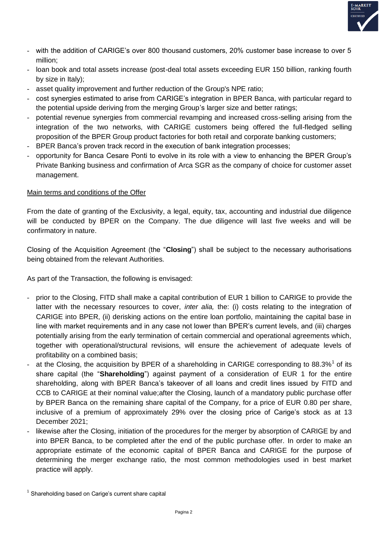

- with the addition of CARIGE's over 800 thousand customers, 20% customer base increase to over 5 million;
- loan book and total assets increase (post-deal total assets exceeding EUR 150 billion, ranking fourth by size in Italy);
- asset quality improvement and further reduction of the Group's NPE ratio;
- cost synergies estimated to arise from CARIGE's integration in BPER Banca, with particular regard to the potential upside deriving from the merging Group's larger size and better ratings;
- potential revenue synergies from commercial revamping and increased cross-selling arising from the integration of the two networks, with CARIGE customers being offered the full-fledged selling proposition of the BPER Group product factories for both retail and corporate banking customers;
- BPER Banca's proven track record in the execution of bank integration processes;
- opportunity for Banca Cesare Ponti to evolve in its role with a view to enhancing the BPER Group's Private Banking business and confirmation of Arca SGR as the company of choice for customer asset management.

#### Main terms and conditions of the Offer

From the date of granting of the Exclusivity, a legal, equity, tax, accounting and industrial due diligence will be conducted by BPER on the Company. The due diligence will last five weeks and will be confirmatory in nature.

Closing of the Acquisition Agreement (the "**Closing**") shall be subject to the necessary authorisations being obtained from the relevant Authorities.

As part of the Transaction, the following is envisaged:

- prior to the Closing, FITD shall make a capital contribution of EUR 1 billion to CARIGE to provide the latter with the necessary resources to cover, *inter alia,* the: (i) costs relating to the integration of CARIGE into BPER, (ii) derisking actions on the entire loan portfolio, maintaining the capital base in line with market requirements and in any case not lower than BPER's current levels, and (iii) charges potentially arising from the early termination of certain commercial and operational agreements which, together with operational/structural revisions, will ensure the achievement of adequate levels of profitability on a combined basis;
- at the Closing, the acquisition by BPER of a shareholding in CARIGE corresponding to 88.3%<sup>1</sup> of its share capital (the "**Shareholding**") against payment of a consideration of EUR 1 for the entire shareholding, along with BPER Banca's takeover of all loans and credit lines issued by FITD and CCB to CARIGE at their nominal value;after the Closing, launch of a mandatory public purchase offer by BPER Banca on the remaining share capital of the Company, for a price of EUR 0.80 per share, inclusive of a premium of approximately 29% over the closing price of Carige's stock as at 13 December 2021;
- likewise after the Closing, initiation of the procedures for the merger by absorption of CARIGE by and into BPER Banca, to be completed after the end of the public purchase offer. In order to make an appropriate estimate of the economic capital of BPER Banca and CARIGE for the purpose of determining the merger exchange ratio, the most common methodologies used in best market practice will apply.

 $<sup>1</sup>$  Shareholding based on Carige's current share capital</sup>